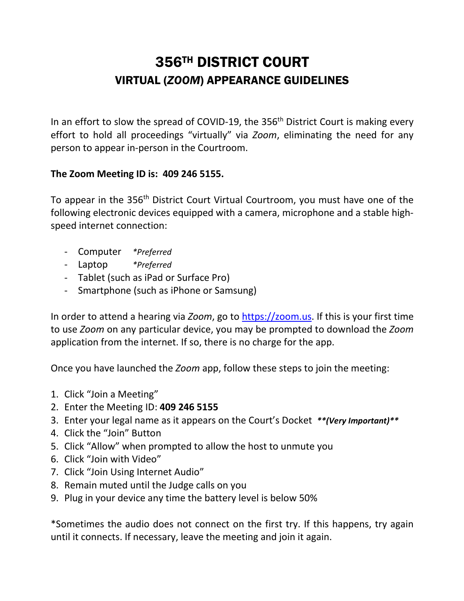## 356TH DISTRICT COURT VIRTUAL (*ZOOM*) APPEARANCE GUIDELINES

In an effort to slow the spread of COVID-19, the  $356<sup>th</sup>$  District Court is making every effort to hold all proceedings "virtually" via *Zoom*, eliminating the need for any person to appear in-person in the Courtroom.

## **The Zoom Meeting ID is: 409 246 5155.**

To appear in the 356<sup>th</sup> District Court Virtual Courtroom, you must have one of the following electronic devices equipped with a camera, microphone and a stable highspeed internet connection:

- Computer *\*Preferred*
- Laptop *\*Preferred*
- Tablet (such as iPad or Surface Pro)
- Smartphone (such as iPhone or Samsung)

In order to attend a hearing via *Zoom*, go to [https://zoom.us.](https://zoom.us/) If this is your first time to use *Zoom* on any particular device, you may be prompted to download the *Zoom* application from the internet. If so, there is no charge for the app.

Once you have launched the *Zoom* app, follow these steps to join the meeting:

- 1. Click "Join a Meeting"
- 2. Enter the Meeting ID: **409 246 5155**
- 3. Enter your legal name as it appears on the Court's Docket *\*\*(Very Important)\*\**
- 4. Click the "Join" Button
- 5. Click "Allow" when prompted to allow the host to unmute you
- 6. Click "Join with Video"
- 7. Click "Join Using Internet Audio"
- 8. Remain muted until the Judge calls on you
- 9. Plug in your device any time the battery level is below 50%

\*Sometimes the audio does not connect on the first try. If this happens, try again until it connects. If necessary, leave the meeting and join it again.